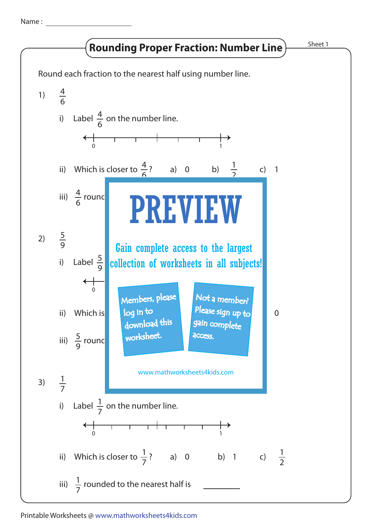Name :

## **Rounding Proper Fraction: Number Line**) Sheet 1